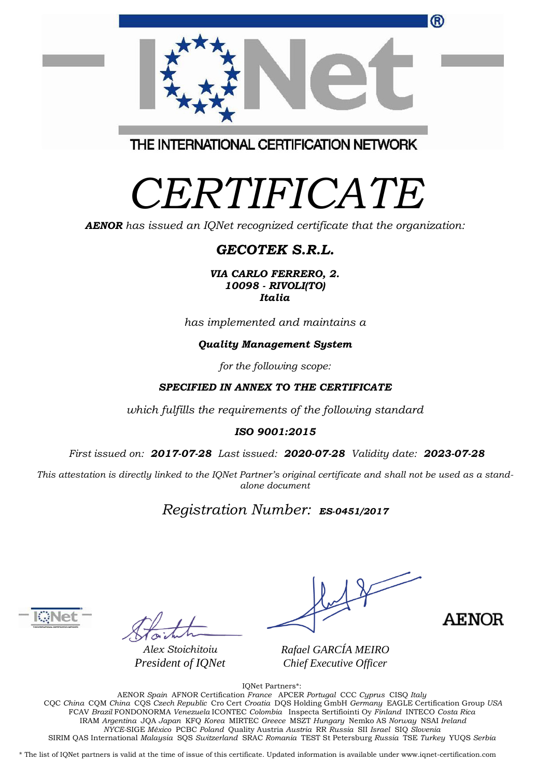|                                         | ® |
|-----------------------------------------|---|
|                                         |   |
| THE INTERNATIONAL CERTIFICATION NETWORK |   |

# *CERTIFICATE*

*AENOR has issued an IQNet recognized certificate that the organization:*

## *GECOTEK S.R.L.*

*VIA CARLO FERRERO, 2. 10098 - RIVOLI(TO) Italia*

*has implemented and maintains a*

#### *Quality Management System*

*for the following scope:*

#### *SPECIFIED IN ANNEX TO THE CERTIFICATE*

*which fulfills the requirements of the following standard*

#### *ISO 9001:2015*

*First issued on: 2017-07-28 Last issued: 2020-07-28 Validity date: 2023-07-28*

This attestation is directly linked to the IQNet Partner's original certificate and shall not be used as a stand*alone document*

### *Registration Number: ES-0451/2017*



*Alex Stoichitoiu President of IQNet*

**AENOR** 

*Rafael GARCÍA MEIRO Chief Executive Officer*

IQNet Partners\*:

AENOR *Spain* AFNOR Certification *France* APCER *Portugal* CCC *Cyprus* CISQ *Italy* CQC *China* CQM *China* CQS *Czech Republic* Cro Cert *Croatia* DQS Holding GmbH *Germany* EAGLE Certification Group *USA* FCAV *Brazil* FONDONORMA *Venezuela* ICONTEC *Colombia* Inspecta Sertifiointi Oy *Finland* INTECO *Costa Rica* IRAM *Argentina* JQA *Japan* KFQ *Korea* MIRTEC *Greece* MSZT *Hungary* Nemko AS *Norway* NSAI *Ireland NYCE-*SIGE *México* PCBC *Poland* Quality Austria *Austria* RR *Russia* SII *Israel* SIQ *Slovenia* SIRIM QAS International *Malaysia* SQS *Switzerland* SRAC *Romania* TEST St Petersburg *Russia* TSE *Turkey* YUQS *Serbia*

\* The list of IQNet partners is valid at the time of issue of this certificate. Updated information is available under www.iqnet-certification.com